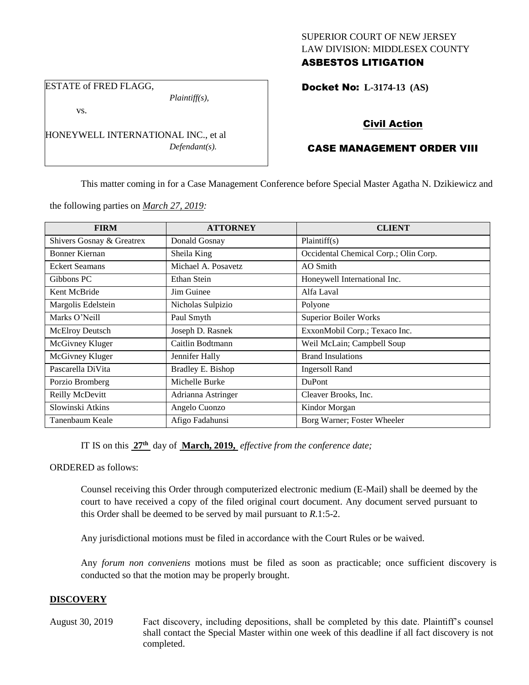## SUPERIOR COURT OF NEW JERSEY LAW DIVISION: MIDDLESEX COUNTY ASBESTOS LITIGATION

ESTATE of FRED FLAGG,

*Plaintiff(s),*

vs.

HONEYWELL INTERNATIONAL INC., et al *Defendant(s).*

# Docket No: **L-3174-13 (AS)**

# Civil Action

# CASE MANAGEMENT ORDER VIII

This matter coming in for a Case Management Conference before Special Master Agatha N. Dzikiewicz and

the following parties on *March 27, 2019:*

| <b>FIRM</b>               | <b>ATTORNEY</b>     | <b>CLIENT</b>                         |
|---------------------------|---------------------|---------------------------------------|
| Shivers Gosnay & Greatrex | Donald Gosnay       | Plaintiff(s)                          |
| Bonner Kiernan            | Sheila King         | Occidental Chemical Corp.; Olin Corp. |
| <b>Eckert Seamans</b>     | Michael A. Posavetz | AO Smith                              |
| Gibbons PC                | Ethan Stein         | Honeywell International Inc.          |
| Kent McBride              | Jim Guinee          | Alfa Laval                            |
| Margolis Edelstein        | Nicholas Sulpizio   | Polyone                               |
| Marks O'Neill             | Paul Smyth          | <b>Superior Boiler Works</b>          |
| McElroy Deutsch           | Joseph D. Rasnek    | ExxonMobil Corp.; Texaco Inc.         |
| McGivney Kluger           | Caitlin Bodtmann    | Weil McLain; Campbell Soup            |
| McGivney Kluger           | Jennifer Hally      | <b>Brand Insulations</b>              |
| Pascarella DiVita         | Bradley E. Bishop   | <b>Ingersoll Rand</b>                 |
| Porzio Bromberg           | Michelle Burke      | <b>DuPont</b>                         |
| Reilly McDevitt           | Adrianna Astringer  | Cleaver Brooks, Inc.                  |
| Slowinski Atkins          | Angelo Cuonzo       | Kindor Morgan                         |
| Tanenbaum Keale           | Afigo Fadahunsi     | Borg Warner; Foster Wheeler           |

IT IS on this **27th** day of **March, 2019,** *effective from the conference date;*

ORDERED as follows:

Counsel receiving this Order through computerized electronic medium (E-Mail) shall be deemed by the court to have received a copy of the filed original court document. Any document served pursuant to this Order shall be deemed to be served by mail pursuant to *R*.1:5-2.

Any jurisdictional motions must be filed in accordance with the Court Rules or be waived.

Any *forum non conveniens* motions must be filed as soon as practicable; once sufficient discovery is conducted so that the motion may be properly brought.

## **DISCOVERY**

August 30, 2019 Fact discovery, including depositions, shall be completed by this date. Plaintiff's counsel shall contact the Special Master within one week of this deadline if all fact discovery is not completed.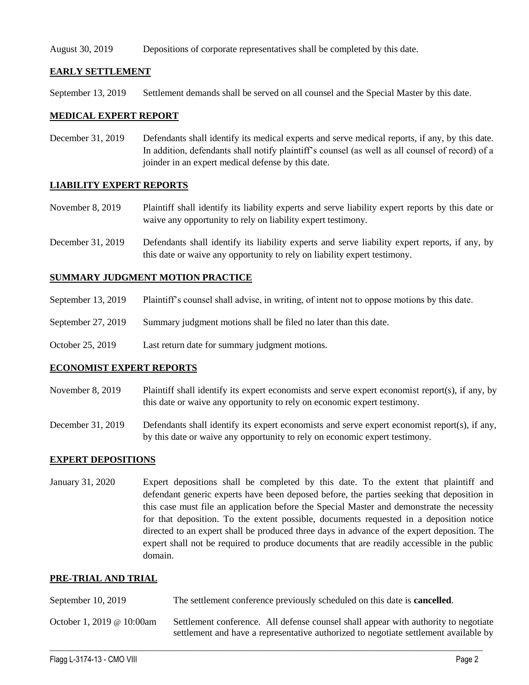### August 30, 2019 Depositions of corporate representatives shall be completed by this date.

### **EARLY SETTLEMENT**

September 13, 2019 Settlement demands shall be served on all counsel and the Special Master by this date.

#### **MEDICAL EXPERT REPORT**

December 31, 2019 Defendants shall identify its medical experts and serve medical reports, if any, by this date. In addition, defendants shall notify plaintiff's counsel (as well as all counsel of record) of a joinder in an expert medical defense by this date.

### **LIABILITY EXPERT REPORTS**

- November 8, 2019 Plaintiff shall identify its liability experts and serve liability expert reports by this date or waive any opportunity to rely on liability expert testimony.
- December 31, 2019 Defendants shall identify its liability experts and serve liability expert reports, if any, by this date or waive any opportunity to rely on liability expert testimony.

### **SUMMARY JUDGMENT MOTION PRACTICE**

- September 13, 2019 Plaintiff's counsel shall advise, in writing, of intent not to oppose motions by this date.
- September 27, 2019 Summary judgment motions shall be filed no later than this date.
- October 25, 2019 Last return date for summary judgment motions.

#### **ECONOMIST EXPERT REPORTS**

- November 8, 2019 Plaintiff shall identify its expert economists and serve expert economist report(s), if any, by this date or waive any opportunity to rely on economic expert testimony.
- December 31, 2019 Defendants shall identify its expert economists and serve expert economist report(s), if any, by this date or waive any opportunity to rely on economic expert testimony.

### **EXPERT DEPOSITIONS**

January 31, 2020 Expert depositions shall be completed by this date. To the extent that plaintiff and defendant generic experts have been deposed before, the parties seeking that deposition in this case must file an application before the Special Master and demonstrate the necessity for that deposition. To the extent possible, documents requested in a deposition notice directed to an expert shall be produced three days in advance of the expert deposition. The expert shall not be required to produce documents that are readily accessible in the public domain.

#### **PRE-TRIAL AND TRIAL**

| September $10, 2019$      | The settlement conference previously scheduled on this date is <b>cancelled</b> .                                                                                           |  |
|---------------------------|-----------------------------------------------------------------------------------------------------------------------------------------------------------------------------|--|
| October 1, 2019 @ 10:00am | Settlement conference. All defense counsel shall appear with authority to negotiate<br>settlement and have a representative authorized to negotiate settlement available by |  |